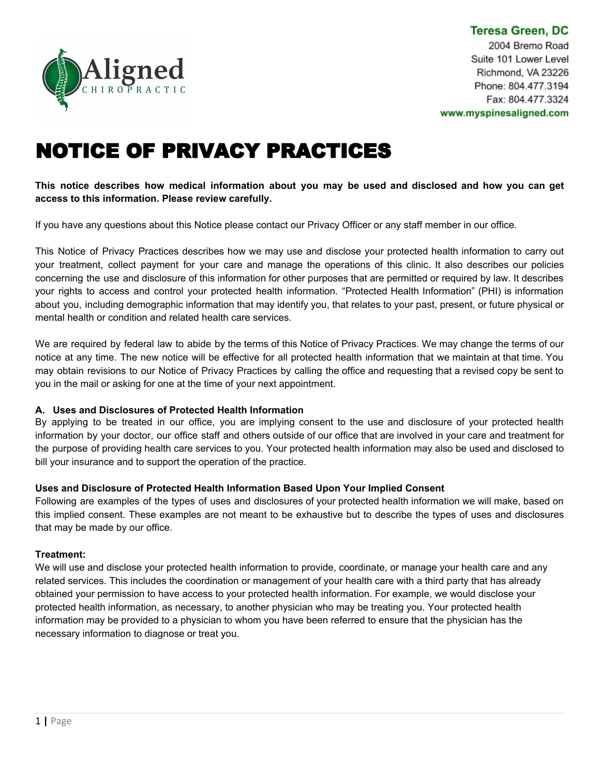

**Teresa Green, DC** 2004 Bremo Road Suite 101 Lower Level Richmond, VA 23226 Phone: 804.477.3194 Fax: 804.477.3324 www.myspinesaligned.com

# NOTICE OF PRIVACY PRACTICES

This notice describes how medical information about you may be used and disclosed and how you can get **access to this information. Please review carefully.**

If you have any questions about this Notice please contact our Privacy Officer or any staff member in our office.

This Notice of Privacy Practices describes how we may use and disclose your protected health information to carry out your treatment, collect payment for your care and manage the operations of this clinic. It also describes our policies concerning the use and disclosure of this information for other purposes that are permitted or required by law. It describes your rights to access and control your protected health information. "Protected Health Information" (PHI) is information about you, including demographic information that may identify you, that relates to your past, present, or future physical or mental health or condition and related health care services.

We are required by federal law to abide by the terms of this Notice of Privacy Practices. We may change the terms of our notice at any time. The new notice will be effective for all protected health information that we maintain at that time. You may obtain revisions to our Notice of Privacy Practices by calling the office and requesting that a revised copy be sent to you in the mail or asking for one at the time of your next appointment.

### **A. Uses and Disclosures of Protected Health Information**

By applying to be treated in our office, you are implying consent to the use and disclosure of your protected health information by your doctor, our office staff and others outside of our office that are involved in your care and treatment for the purpose of providing health care services to you. Your protected health information may also be used and disclosed to bill your insurance and to support the operation of the practice.

### **Uses and Disclosure of Protected Health Information Based Upon Your Implied Consent**

Following are examples of the types of uses and disclosures of your protected health information we will make, based on this implied consent. These examples are not meant to be exhaustive but to describe the types of uses and disclosures that may be made by our office.

### **Treatment:**

We will use and disclose your protected health information to provide, coordinate, or manage your health care and any related services. This includes the coordination or management of your health care with a third party that has already obtained your permission to have access to your protected health information. For example, we would disclose your protected health information, as necessary, to another physician who may be treating you. Your protected health information may be provided to a physician to whom you have been referred to ensure that the physician has the necessary information to diagnose or treat you.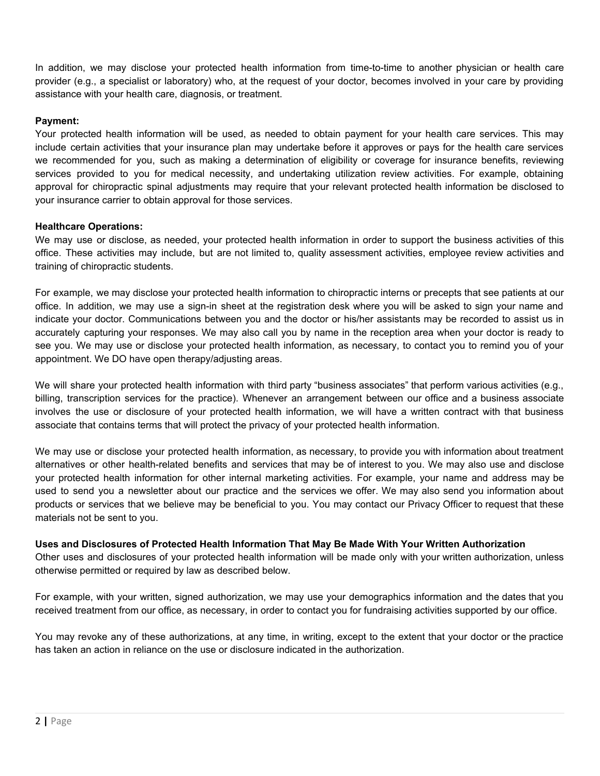In addition, we may disclose your protected health information from time-to-time to another physician or health care provider (e.g., a specialist or laboratory) who, at the request of your doctor, becomes involved in your care by providing assistance with your health care, diagnosis, or treatment.

## **Payment:**

Your protected health information will be used, as needed to obtain payment for your health care services. This may include certain activities that your insurance plan may undertake before it approves or pays for the health care services we recommended for you, such as making a determination of eligibility or coverage for insurance benefits, reviewing services provided to you for medical necessity, and undertaking utilization review activities. For example, obtaining approval for chiropractic spinal adjustments may require that your relevant protected health information be disclosed to your insurance carrier to obtain approval for those services.

### **Healthcare Operations:**

We may use or disclose, as needed, your protected health information in order to support the business activities of this office. These activities may include, but are not limited to, quality assessment activities, employee review activities and training of chiropractic students.

For example, we may disclose your protected health information to chiropractic interns or precepts that see patients at our office. In addition, we may use a sign-in sheet at the registration desk where you will be asked to sign your name and indicate your doctor. Communications between you and the doctor or his/her assistants may be recorded to assist us in accurately capturing your responses. We may also call you by name in the reception area when your doctor is ready to see you. We may use or disclose your protected health information, as necessary, to contact you to remind you of your appointment. We DO have open therapy/adjusting areas.

We will share your protected health information with third party "business associates" that perform various activities (e.g., billing, transcription services for the practice). Whenever an arrangement between our office and a business associate involves the use or disclosure of your protected health information, we will have a written contract with that business associate that contains terms that will protect the privacy of your protected health information.

We may use or disclose your protected health information, as necessary, to provide you with information about treatment alternatives or other health-related benefits and services that may be of interest to you. We may also use and disclose your protected health information for other internal marketing activities. For example, your name and address may be used to send you a newsletter about our practice and the services we offer. We may also send you information about products or services that we believe may be beneficial to you. You may contact our Privacy Officer to request that these materials not be sent to you.

# **Uses and Disclosures of Protected Health Information That May Be Made With Your Written Authorization**

Other uses and disclosures of your protected health information will be made only with your written authorization, unless otherwise permitted or required by law as described below.

For example, with your written, signed authorization, we may use your demographics information and the dates that you received treatment from our office, as necessary, in order to contact you for fundraising activities supported by our office.

You may revoke any of these authorizations, at any time, in writing, except to the extent that your doctor or the practice has taken an action in reliance on the use or disclosure indicated in the authorization.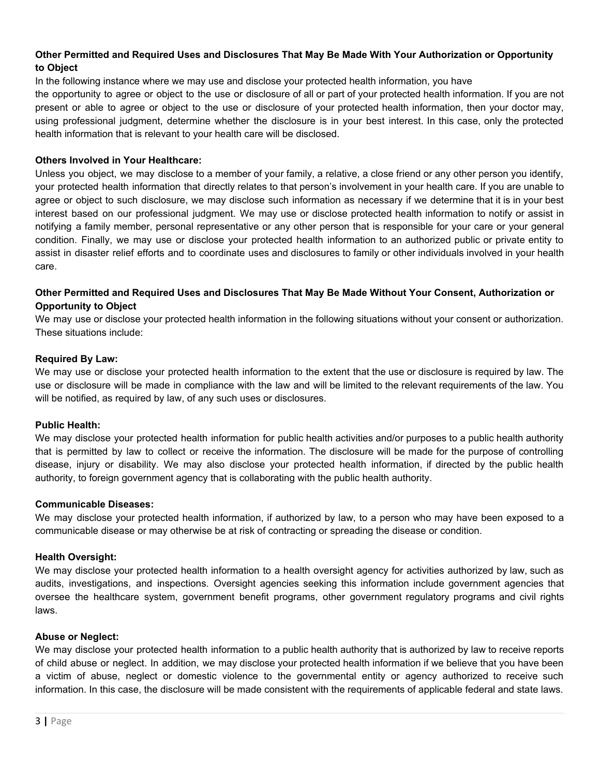# **Other Permitted and Required Uses and Disclosures That May Be Made With Your Authorization or Opportunity to Object**

In the following instance where we may use and disclose your protected health information, you have

the opportunity to agree or object to the use or disclosure of all or part of your protected health information. If you are not present or able to agree or object to the use or disclosure of your protected health information, then your doctor may, using professional judgment, determine whether the disclosure is in your best interest. In this case, only the protected health information that is relevant to your health care will be disclosed.

#### **Others Involved in Your Healthcare:**

Unless you object, we may disclose to a member of your family, a relative, a close friend or any other person you identify, your protected health information that directly relates to that person's involvement in your health care. If you are unable to agree or object to such disclosure, we may disclose such information as necessary if we determine that it is in your best interest based on our professional judgment. We may use or disclose protected health information to notify or assist in notifying a family member, personal representative or any other person that is responsible for your care or your general condition. Finally, we may use or disclose your protected health information to an authorized public or private entity to assist in disaster relief efforts and to coordinate uses and disclosures to family or other individuals involved in your health care.

## **Other Permitted and Required Uses and Disclosures That May Be Made Without Your Consent, Authorization or Opportunity to Object**

We may use or disclose your protected health information in the following situations without your consent or authorization. These situations include:

#### **Required By Law:**

We may use or disclose your protected health information to the extent that the use or disclosure is required by law. The use or disclosure will be made in compliance with the law and will be limited to the relevant requirements of the law. You will be notified, as required by law, of any such uses or disclosures.

#### **Public Health:**

We may disclose your protected health information for public health activities and/or purposes to a public health authority that is permitted by law to collect or receive the information. The disclosure will be made for the purpose of controlling disease, injury or disability. We may also disclose your protected health information, if directed by the public health authority, to foreign government agency that is collaborating with the public health authority.

#### **Communicable Diseases:**

We may disclose your protected health information, if authorized by law, to a person who may have been exposed to a communicable disease or may otherwise be at risk of contracting or spreading the disease or condition.

#### **Health Oversight:**

We may disclose your protected health information to a health oversight agency for activities authorized by law, such as audits, investigations, and inspections. Oversight agencies seeking this information include government agencies that oversee the healthcare system, government benefit programs, other government regulatory programs and civil rights laws.

#### **Abuse or Neglect:**

We may disclose your protected health information to a public health authority that is authorized by law to receive reports of child abuse or neglect. In addition, we may disclose your protected health information if we believe that you have been a victim of abuse, neglect or domestic violence to the governmental entity or agency authorized to receive such information. In this case, the disclosure will be made consistent with the requirements of applicable federal and state laws.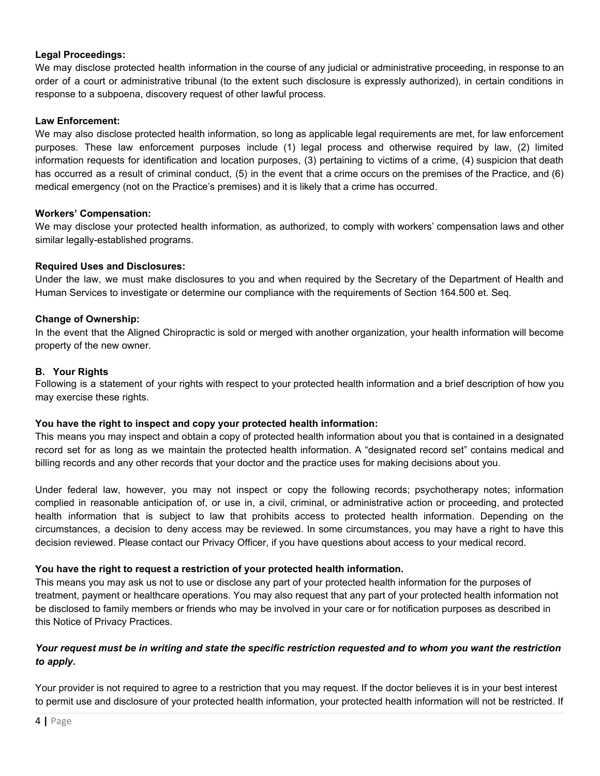## **Legal Proceedings:**

We may disclose protected health information in the course of any judicial or administrative proceeding, in response to an order of a court or administrative tribunal (to the extent such disclosure is expressly authorized), in certain conditions in response to a subpoena, discovery request of other lawful process.

## **Law Enforcement:**

We may also disclose protected health information, so long as applicable legal requirements are met, for law enforcement purposes. These law enforcement purposes include (1) legal process and otherwise required by law, (2) limited information requests for identification and location purposes, (3) pertaining to victims of a crime, (4) suspicion that death has occurred as a result of criminal conduct, (5) in the event that a crime occurs on the premises of the Practice, and (6) medical emergency (not on the Practice's premises) and it is likely that a crime has occurred.

### **Workers' Compensation:**

We may disclose your protected health information, as authorized, to comply with workers' compensation laws and other similar legally-established programs.

## **Required Uses and Disclosures:**

Under the law, we must make disclosures to you and when required by the Secretary of the Department of Health and Human Services to investigate or determine our compliance with the requirements of Section 164.500 et. Seq.

### **Change of Ownership:**

In the event that the Aligned Chiropractic is sold or merged with another organization, your health information will become property of the new owner.

### **B. Your Rights**

Following is a statement of your rights with respect to your protected health information and a brief description of how you may exercise these rights.

# **You have the right to inspect and copy your protected health information:**

This means you may inspect and obtain a copy of protected health information about you that is contained in a designated record set for as long as we maintain the protected health information. A "designated record set" contains medical and billing records and any other records that your doctor and the practice uses for making decisions about you.

Under federal law, however, you may not inspect or copy the following records; psychotherapy notes; information complied in reasonable anticipation of, or use in, a civil, criminal, or administrative action or proceeding, and protected health information that is subject to law that prohibits access to protected health information. Depending on the circumstances, a decision to deny access may be reviewed. In some circumstances, you may have a right to have this decision reviewed. Please contact our Privacy Officer, if you have questions about access to your medical record.

# **You have the right to request a restriction of your protected health information.**

This means you may ask us not to use or disclose any part of your protected health information for the purposes of treatment, payment or healthcare operations. You may also request that any part of your protected health information not be disclosed to family members or friends who may be involved in your care or for notification purposes as described in this Notice of Privacy Practices.

# Your request must be in writing and state the specific restriction requested and to whom you want the restriction *to apply.*

Your provider is not required to agree to a restriction that you may request. If the doctor believes it is in your best interest to permit use and disclosure of your protected health information, your protected health information will not be restricted. If